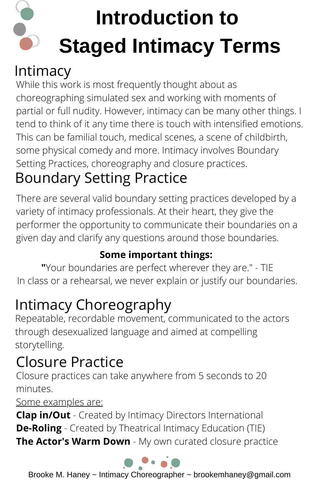## **Introduction to Staged Intimacy Terms**

#### Intimacy

While this work is most frequently thought about as choreographing simulated sex and working with moments of partial or full nudity. However, intimacy can be many other things. I tend to think of it any time there is touch with intensified emotions. This can be familial touch, medical scenes, a scene of childbirth, some physical comedy and more. Intimacy involves Boundary Setting Practices, choreography and closure practices.

## Boundary Setting Practice

There are several valid boundary setting practices developed by a variety of intimacy professionals. At their heart, they give the performer the opportunity to communicate their boundaries on a given day and clarify any questions around those boundaries.

#### **Some important things:**

**"**Your boundaries are perfect wherever they are." - TIE In class or a rehearsal, we never explain or justify our boundaries.

## Intimacy Choreography

Repeatable, recordable movement, communicated to the actors through desexualized language and aimed at compelling storytelling.

## Closure Practice

Closure practices can take anywhere from 5 seconds to 20 minutes.

Some examples are:

**Clap in/Out** - Created by Intimacy Directors International **De-Roling** - Created by Theatrical Intimacy Education (TIE) **The Actor's Warm Down** - My own curated closure practice



Brooke M. Haney ~ Intimacy Choreographer ~ brookemhaney@gmail.com